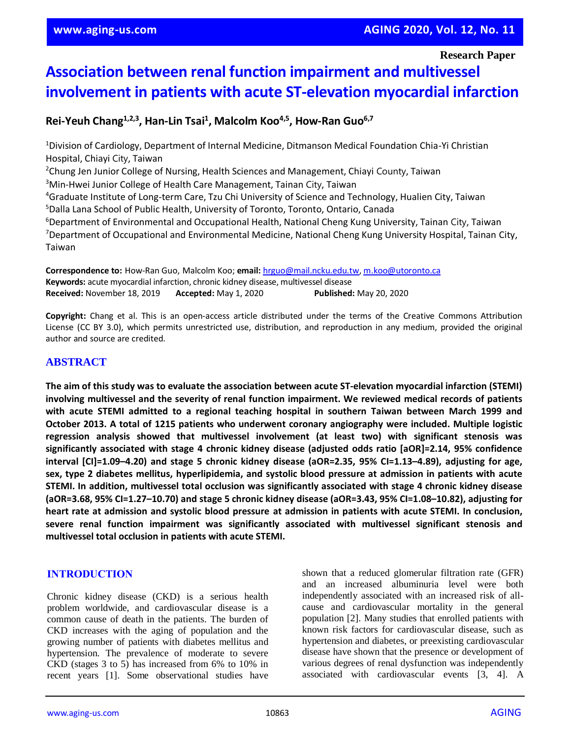#### **Research Paper**

# **Association between renal function impairment and multivessel involvement in patients with acute ST-elevation myocardial infarction**

**Rei-Yeuh Chang1,2,3, Han-Lin Tsai<sup>1</sup> , Malcolm Koo4,5, How-Ran Guo6,7**

<sup>1</sup>Division of Cardiology, Department of Internal Medicine, Ditmanson Medical Foundation Chia-Yi Christian Hospital, Chiayi City, Taiwan

<sup>2</sup>Chung Jen Junior College of Nursing, Health Sciences and Management, Chiayi County, Taiwan

<sup>3</sup>Min-Hwei Junior College of Health Care Management, Tainan City, Taiwan

<sup>4</sup>Graduate Institute of Long-term Care, Tzu Chi University of Science and Technology, Hualien City, Taiwan

<sup>5</sup>Dalla Lana School of Public Health, University of Toronto, Toronto, Ontario, Canada <sup>6</sup>Department of Environmental and Occupational Health, National Cheng Kung University, Tainan City, Taiwan

<sup>7</sup>Department of Occupational and Environmental Medicine, National Cheng Kung University Hospital, Tainan City, Taiwan

**Correspondence to:** How-Ran Guo, Malcolm Koo; **email:** [hrguo@mail.ncku.edu.tw,](mailto:hrguo@mail.ncku.edu.tw) [m.koo@utoronto.ca](mailto:m.koo@utoronto.ca) **Keywords:** acute myocardial infarction, chronic kidney disease, multivessel disease **Received:** November 18, 2019 **Accepted:** May 1, 2020 **Published:** May 20, 2020

**Copyright:** Chang et al. This is an open-access article distributed under the terms of the Creative Commons Attribution License (CC BY 3.0), which permits unrestricted use, distribution, and reproduction in any medium, provided the original author and source are credited.

## **ABSTRACT**

**The aim of this study was to evaluate the association between acute ST-elevation myocardial infarction (STEMI) involving multivessel and the severity of renal function impairment. We reviewed medical records of patients with acute STEMI admitted to a regional teaching hospital in southern Taiwan between March 1999 and October 2013. A total of 1215 patients who underwent coronary angiography were included. Multiple logistic regression analysis showed that multivessel involvement (at least two) with significant stenosis was significantly associated with stage 4 chronic kidney disease (adjusted odds ratio [aOR]=2.14, 95% confidence** interval [CI]=1.09-4.20) and stage 5 chronic kidney disease (aOR=2.35, 95% CI=1.13-4.89), adjusting for age, **sex, type 2 diabetes mellitus, hyperlipidemia, and systolic blood pressure at admission in patients with acute STEMI. In addition, multivessel total occlusion was significantly associated with stage 4 chronic kidney disease** (aOR=3.68, 95% CI=1.27–10.70) and stage 5 chronic kidney disease (aOR=3.43, 95% CI=1.08–10.82), adjusting for heart rate at admission and systolic blood pressure at admission in patients with acute STEMI. In conclusion, **severe renal function impairment was significantly associated with multivessel significant stenosis and multivessel total occlusion in patients with acute STEMI.**

## **INTRODUCTION**

Chronic kidney disease (CKD) is a serious health problem worldwide, and cardiovascular disease is a common cause of death in the patients. The burden of CKD increases with the aging of population and the growing number of patients with diabetes mellitus and hypertension. The prevalence of moderate to severe CKD (stages 3 to 5) has increased from 6% to 10% in recent years [1]. Some observational studies have shown that a reduced glomerular filtration rate (GFR) and an increased albuminuria level were both independently associated with an increased risk of allcause and cardiovascular mortality in the general population [2]. Many studies that enrolled patients with known risk factors for cardiovascular disease, such as hypertension and diabetes, or preexisting cardiovascular disease have shown that the presence or development of various degrees of renal dysfunction was independently associated with cardiovascular events [3, 4]. A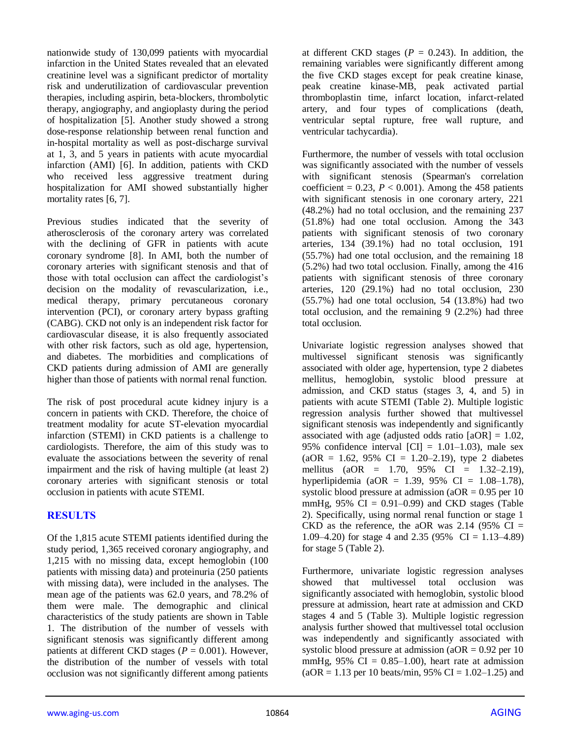nationwide study of 130,099 patients with myocardial infarction in the United States revealed that an elevated creatinine level was a significant predictor of mortality risk and underutilization of cardiovascular prevention therapies, including aspirin, beta-blockers, thrombolytic therapy, angiography, and angioplasty during the period of hospitalization [5]. Another study showed a strong dose-response relationship between renal function and in-hospital mortality as well as post-discharge survival at 1, 3, and 5 years in patients with acute myocardial infarction (AMI) [6]. In addition, patients with CKD who received less aggressive treatment during hospitalization for AMI showed substantially higher mortality rates [6, 7].

Previous studies indicated that the severity of atherosclerosis of the coronary artery was correlated with the declining of GFR in patients with acute coronary syndrome [8]. In AMI, both the number of coronary arteries with significant stenosis and that of those with total occlusion can affect the cardiologist's decision on the modality of revascularization, i.e., medical therapy, primary percutaneous coronary intervention (PCI), or coronary artery bypass grafting (CABG). CKD not only is an independent risk factor for cardiovascular disease, it is also frequently associated with other risk factors, such as old age, hypertension, and diabetes. The morbidities and complications of CKD patients during admission of AMI are generally higher than those of patients with normal renal function.

The risk of post procedural acute kidney injury is a concern in patients with CKD. Therefore, the choice of treatment modality for acute ST-elevation myocardial infarction (STEMI) in CKD patients is a challenge to cardiologists. Therefore, the aim of this study was to evaluate the associations between the severity of renal impairment and the risk of having multiple (at least 2) coronary arteries with significant stenosis or total occlusion in patients with acute STEMI.

## **RESULTS**

Of the 1,815 acute STEMI patients identified during the study period, 1,365 received coronary angiography, and 1,215 with no missing data, except hemoglobin (100 patients with missing data) and proteinuria (250 patients with missing data), were included in the analyses. The mean age of the patients was 62.0 years, and 78.2% of them were male. The demographic and clinical characteristics of the study patients are shown in Table 1. The distribution of the number of vessels with significant stenosis was significantly different among patients at different CKD stages ( $P = 0.001$ ). However, the distribution of the number of vessels with total occlusion was not significantly different among patients

at different CKD stages ( $P = 0.243$ ). In addition, the remaining variables were significantly different among the five CKD stages except for peak creatine kinase, peak creatine kinase-MB, peak activated partial thromboplastin time, infarct location, infarct-related artery, and four types of complications (death, ventricular septal rupture, free wall rupture, and ventricular tachycardia).

Furthermore, the number of vessels with total occlusion was significantly associated with the number of vessels with significant stenosis (Spearman's correlation coefficient =  $0.23$ ,  $P < 0.001$ ). Among the 458 patients with significant stenosis in one coronary artery, 221 (48.2%) had no total occlusion, and the remaining 237 (51.8%) had one total occlusion. Among the 343 patients with significant stenosis of two coronary arteries, 134 (39.1%) had no total occlusion, 191 (55.7%) had one total occlusion, and the remaining 18 (5.2%) had two total occlusion. Finally, among the 416 patients with significant stenosis of three coronary arteries, 120 (29.1%) had no total occlusion, 230  $(55.7\%)$  had one total occlusion, 54  $(13.8\%)$  had two total occlusion, and the remaining 9 (2.2%) had three total occlusion.

Univariate logistic regression analyses showed that multivessel significant stenosis was significantly associated with older age, hypertension, type 2 diabetes mellitus, hemoglobin, systolic blood pressure at admission, and CKD status (stages 3, 4, and 5) in patients with acute STEMI (Table 2). Multiple logistic regression analysis further showed that multivessel significant stenosis was independently and significantly associated with age (adjusted odds ratio  $[aOR] = 1.02$ , 95% confidence interval  $|CI| = 1.01-1.03$ , male sex  $(aOR = 1.62, 95\% \text{ CI} = 1.20-2.19)$ , type 2 diabetes mellitus (aOR = 1.70, 95% CI = 1.32–2.19), hyperlipidemia (aOR = 1.39, 95% CI = 1.08–1.78), systolic blood pressure at admission ( $aOR = 0.95$  per 10 mmHg,  $95\%$  CI = 0.91–0.99) and CKD stages (Table 2). Specifically, using normal renal function or stage 1 CKD as the reference, the aOR was  $2.14$  (95% CI = 1.09–4.20) for stage 4 and 2.35 (95% CI = 1.13–4.89) for stage 5 (Table 2).

Furthermore, univariate logistic regression analyses showed that multivessel total occlusion was significantly associated with hemoglobin, systolic blood pressure at admission, heart rate at admission and CKD stages 4 and 5 (Table 3). Multiple logistic regression analysis further showed that multivessel total occlusion was independently and significantly associated with systolic blood pressure at admission ( $aOR = 0.92$  per 10 mmHg,  $95\%$  CI = 0.85–1.00), heart rate at admission  $(aOR = 1.13 \text{ per } 10 \text{ beats/min}, 95\% \text{ CI} = 1.02 - 1.25)$  and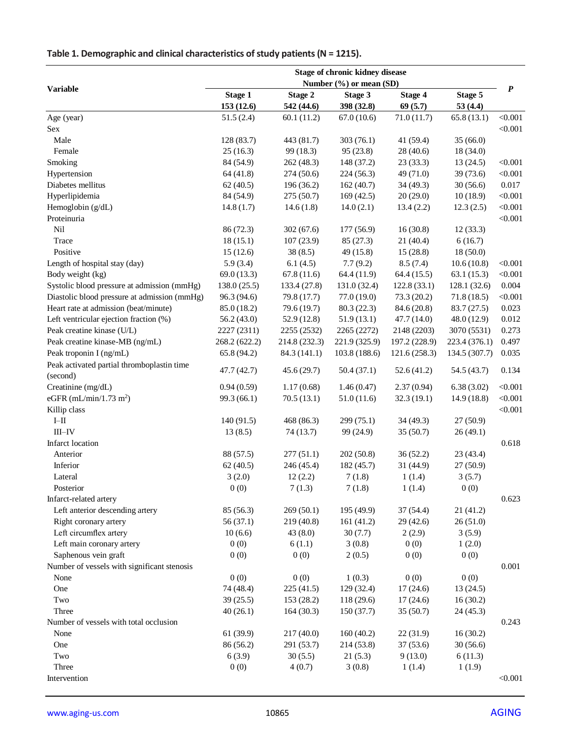| Table 1. Demographic and clinical characteristics of study patients ( $N = 1215$ ). |  |
|-------------------------------------------------------------------------------------|--|
|-------------------------------------------------------------------------------------|--|

|                                              | Stage of chronic kidney disease |               |               |               |               |                  |
|----------------------------------------------|---------------------------------|---------------|---------------|---------------|---------------|------------------|
| <b>Variable</b>                              | Number (%) or mean (SD)         |               |               |               |               |                  |
|                                              | <b>Stage 1</b>                  | Stage 2       | Stage 3       | Stage 4       | Stage 5       | $\boldsymbol{P}$ |
|                                              | 153 (12.6)                      | 542 (44.6)    | 398 (32.8)    | 69(5.7)       | 53(4.4)       |                  |
| Age (year)                                   | 51.5(2.4)                       | 60.1(11.2)    | 67.0(10.6)    | 71.0(11.7)    | 65.8(13.1)    | < 0.001          |
| Sex                                          |                                 |               |               |               |               | < 0.001          |
| Male                                         | 128 (83.7)                      | 443 (81.7)    | 303(76.1)     | 41 (59.4)     | 35(66.0)      |                  |
| Female                                       | 25(16.3)                        | 99 (18.3)     | 95 (23.8)     | 28 (40.6)     | 18 (34.0)     |                  |
| Smoking                                      | 84 (54.9)                       | 262 (48.3)    | 148 (37.2)    | 23(33.3)      | 13(24.5)      | < 0.001          |
| Hypertension                                 | 64 (41.8)                       | 274 (50.6)    | 224(56.3)     | 49 (71.0)     | 39 (73.6)     | < 0.001          |
| Diabetes mellitus                            | 62(40.5)                        | 196 (36.2)    | 162(40.7)     | 34 (49.3)     | 30(56.6)      | 0.017            |
| Hyperlipidemia                               | 84 (54.9)                       | 275 (50.7)    | 169(42.5)     | 20(29.0)      | 10(18.9)      | < 0.001          |
| Hemoglobin (g/dL)                            | 14.8(1.7)                       | 14.6(1.8)     | 14.0(2.1)     | 13.4(2.2)     | 12.3(2.5)     | < 0.001          |
| Proteinuria                                  |                                 |               |               |               |               | < 0.001          |
| Nil                                          | 86 (72.3)                       | 302(67.6)     | 177 (56.9)    | 16(30.8)      | 12(33.3)      |                  |
| Trace                                        | 18(15.1)                        | 107(23.9)     | 85 (27.3)     | 21(40.4)      | 6(16.7)       |                  |
| Positive                                     | 15(12.6)                        | 38(8.5)       | 49 (15.8)     | 15(28.8)      | 18(50.0)      |                  |
| Length of hospital stay (day)                | 5.9(3.4)                        | 6.1(4.5)      | 7.7(9.2)      | 8.5(7.4)      | 10.6(10.8)    | < 0.001          |
| Body weight (kg)                             | 69.0(13.3)                      | 67.8(11.6)    | 64.4(11.9)    | 64.4(15.5)    | 63.1(15.3)    | < 0.001          |
| Systolic blood pressure at admission (mmHg)  | 138.0(25.5)                     | 133.4 (27.8)  | 131.0 (32.4)  | 122.8(33.1)   | 128.1 (32.6)  | 0.004            |
| Diastolic blood pressure at admission (mmHg) | 96.3 (94.6)                     | 79.8 (17.7)   | 77.0(19.0)    | 73.3(20.2)    | 71.8(18.5)    | < 0.001          |
| Heart rate at admission (beat/minute)        | 85.0 (18.2)                     | 79.6 (19.7)   | 80.3(22.3)    | 84.6 (20.8)   | 83.7 (27.5)   | 0.023            |
| Left ventricular ejection fraction (%)       | 56.2(43.0)                      | 52.9(12.8)    | 51.9(13.1)    | 47.7 (14.0)   | 48.0 (12.9)   | 0.012            |
| Peak creatine kinase (U/L)                   | 2227 (2311)                     | 2255 (2532)   | 2265 (2272)   | 2148 (2203)   | 3070 (5531)   | 0.273            |
| Peak creatine kinase-MB (ng/mL)              | 268.2 (622.2)                   | 214.8 (232.3) | 221.9 (325.9) | 197.2 (228.9) | 223.4 (376.1) | 0.497            |
| Peak troponin I (ng/mL)                      | 65.8 (94.2)                     | 84.3 (141.1)  | 103.8 (188.6) | 121.6 (258.3) | 134.5 (307.7) | 0.035            |
| Peak activated partial thromboplastin time   | 47.7 (42.7)                     | 45.6(29.7)    | 50.4(37.1)    | 52.6(41.2)    | 54.5 (43.7)   | 0.134            |
| (second)                                     |                                 |               |               |               |               |                  |
| Creatinine (mg/dL)                           | 0.94(0.59)                      | 1.17(0.68)    | 1.46(0.47)    | 2.37(0.94)    | 6.38(3.02)    | < 0.001          |
| eGFR (mL/min/1.73 m <sup>2</sup> )           | 99.3 (66.1)                     | 70.5(13.1)    | 51.0(11.6)    | 32.3(19.1)    | 14.9(18.8)    | < 0.001          |
| Killip class                                 |                                 |               |               |               |               | < 0.001          |
| $I-II$                                       | 140 (91.5)                      | 468 (86.3)    | 299 (75.1)    | 34(49.3)      | 27(50.9)      |                  |
| $III$ -IV                                    | 13(8.5)                         | 74 (13.7)     | 99 (24.9)     | 35(50.7)      | 26(49.1)      |                  |
| Infarct location                             |                                 |               |               |               |               | 0.618            |
| Anterior                                     | 88 (57.5)                       | 277(51.1)     | 202(50.8)     | 36(52.2)      | 23(43.4)      |                  |
| Inferior                                     | 62(40.5)                        | 246 (45.4)    | 182 (45.7)    | 31 (44.9)     | 27(50.9)      |                  |
| Lateral                                      | 3(2.0)                          | 12(2.2)       | 7(1.8)        | 1(1.4)        | 3(5.7)        |                  |
| Posterior                                    | 0(0)                            | 7(1.3)        | 7(1.8)        | 1(1.4)        | 0(0)          |                  |
| Infarct-related artery                       |                                 |               |               |               |               | 0.623            |
| Left anterior descending artery              | 85 (56.3)                       | 269(50.1)     | 195 (49.9)    | 37(54.4)      | 21 (41.2)     |                  |
| Right coronary artery                        | 56 (37.1)                       | 219 (40.8)    | 161(41.2)     | 29 (42.6)     | 26(51.0)      |                  |
| Left circumflex artery                       | 10(6.6)                         | 43(8.0)       | 30(7.7)       | 2(2.9)        | 3(5.9)        |                  |
| Left main coronary artery                    | 0(0)                            | 6(1.1)        | 3(0.8)        | 0(0)          | 1(2.0)        |                  |
| Saphenous vein graft                         | 0(0)                            | 0(0)          | 2(0.5)        | 0(0)          | 0(0)          |                  |
| Number of vessels with significant stenosis  |                                 |               |               |               |               | 0.001            |
| None                                         | 0(0)                            | 0(0)          | 1(0.3)        | 0(0)          | 0(0)          |                  |
| One                                          | 74 (48.4)                       | 225(41.5)     | 129 (32.4)    | 17(24.6)      | 13 (24.5)     |                  |
| Two                                          | 39(25.5)                        | 153 (28.2)    | 118 (29.6)    | 17(24.6)      | 16(30.2)      |                  |
| Three                                        | 40(26.1)                        | 164(30.3)     | 150 (37.7)    | 35(50.7)      | 24(45.3)      |                  |
| Number of vessels with total occlusion       |                                 |               |               |               |               | 0.243            |
| None                                         | 61 (39.9)                       | 217 (40.0)    | 160(40.2)     | 22(31.9)      | 16(30.2)      |                  |
| One                                          | 86 (56.2)                       | 291 (53.7)    | 214 (53.8)    | 37(53.6)      | 30(56.6)      |                  |
| Two                                          | 6(3.9)                          | 30(5.5)       | 21(5.3)       | 9(13.0)       | 6(11.3)       |                  |
| Three                                        | 0(0)                            | 4(0.7)        | 3(0.8)        | 1(1.4)        | 1(1.9)        |                  |
| Intervention                                 |                                 |               |               |               |               | < 0.001          |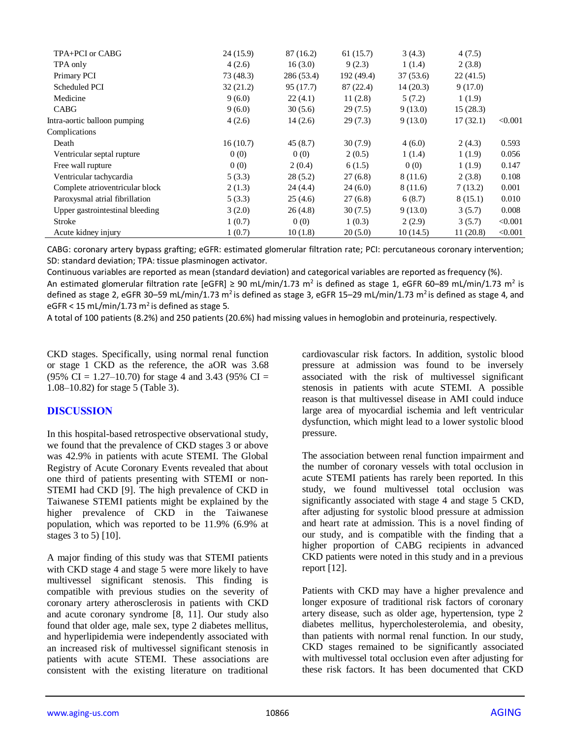| TPA+PCI or CABG                 | 24 (15.9) | 87 (16.2)  | 61(15.7)   | 3(4.3)   | 4(7.5)   |         |
|---------------------------------|-----------|------------|------------|----------|----------|---------|
| TPA only                        | 4(2.6)    | 16(3.0)    | 9(2.3)     | 1(1.4)   | 2(3.8)   |         |
| Primary PCI                     | 73(48.3)  | 286 (53.4) | 192 (49.4) | 37(53.6) | 22(41.5) |         |
| Scheduled PCI                   | 32(21.2)  | 95 (17.7)  | 87 (22.4)  | 14(20.3) | 9(17.0)  |         |
| Medicine                        | 9(6.0)    | 22(4.1)    | 11(2.8)    | 5(7.2)   | 1(1.9)   |         |
| CABG                            | 9(6.0)    | 30(5.6)    | 29(7.5)    | 9(13.0)  | 15(28.3) |         |
| Intra-aortic balloon pumping    | 4(2.6)    | 14(2.6)    | 29(7.3)    | 9(13.0)  | 17(32.1) | < 0.001 |
| Complications                   |           |            |            |          |          |         |
| Death                           | 16(10.7)  | 45(8.7)    | 30(7.9)    | 4(6.0)   | 2(4.3)   | 0.593   |
| Ventricular septal rupture      | 0(0)      | 0(0)       | 2(0.5)     | 1(1.4)   | 1(1.9)   | 0.056   |
| Free wall rupture               | 0(0)      | 2(0.4)     | 6(1.5)     | 0(0)     | 1(1.9)   | 0.147   |
| Ventricular tachycardia         | 5(3.3)    | 28(5.2)    | 27(6.8)    | 8 (11.6) | 2(3.8)   | 0.108   |
| Complete atrioventricular block | 2(1.3)    | 24(4.4)    | 24(6.0)    | 8 (11.6) | 7(13.2)  | 0.001   |
| Paroxysmal atrial fibrillation  | 5(3.3)    | 25(4.6)    | 27(6.8)    | 6(8.7)   | 8(15.1)  | 0.010   |
| Upper gastrointestinal bleeding | 3(2.0)    | 26(4.8)    | 30(7.5)    | 9(13.0)  | 3(5.7)   | 0.008   |
| Stroke                          | 1(0.7)    | 0(0)       | 1(0.3)     | 2(2.9)   | 3(5.7)   | < 0.001 |
| Acute kidney injury             | 1(0.7)    | 10(1.8)    | 20(5.0)    | 10(14.5) | 11(20.8) | < 0.001 |

CABG: coronary artery bypass grafting; eGFR: estimated glomerular filtration rate; PCI: percutaneous coronary intervention; SD: standard deviation; TPA: tissue plasminogen activator.

Continuous variables are reported as mean (standard deviation) and categorical variables are reported as frequency (%).

An estimated glomerular filtration rate [eGFR]  $\geq 90$  mL/min/1.73 m<sup>2</sup> is defined as stage 1, eGFR 60–89 mL/min/1.73 m<sup>2</sup> is defined as stage 2, eGFR 30–59 mL/min/1.73 m<sup>2</sup> is defined as stage 3, eGFR 15–29 mL/min/1.73 m<sup>2</sup> is defined as stage 4, and eGFR < 15 mL/min/1.73 m<sup>2</sup> is defined as stage 5.

A total of 100 patients (8.2%) and 250 patients (20.6%) had missing values in hemoglobin and proteinuria, respectively.

CKD stages. Specifically, using normal renal function or stage 1 CKD as the reference, the aOR was 3.68 (95% CI = 1.27–10.70) for stage 4 and 3.43 (95% CI = 1.08–10.82) for stage 5 (Table 3).

## **DISCUSSION**

In this hospital-based retrospective observational study, we found that the prevalence of CKD stages 3 or above was 42.9% in patients with acute STEMI. The Global Registry of Acute Coronary Events revealed that about one third of patients presenting with STEMI or non-STEMI had CKD [9]. The high prevalence of CKD in Taiwanese STEMI patients might be explained by the higher prevalence of CKD in the Taiwanese population, which was reported to be 11.9% (6.9% at stages 3 to 5) [10].

A major finding of this study was that STEMI patients with CKD stage 4 and stage 5 were more likely to have multivessel significant stenosis. This finding is compatible with previous studies on the severity of coronary artery atherosclerosis in patients with CKD and acute coronary syndrome [8, 11]. Our study also found that older age, male sex, type 2 diabetes mellitus, and hyperlipidemia were independently associated with an increased risk of multivessel significant stenosis in patients with acute STEMI. These associations are consistent with the existing literature on traditional cardiovascular risk factors. In addition, systolic blood pressure at admission was found to be inversely associated with the risk of multivessel significant stenosis in patients with acute STEMI. A possible reason is that multivessel disease in AMI could induce large area of myocardial ischemia and left ventricular dysfunction, which might lead to a lower systolic blood pressure.

The association between renal function impairment and the number of coronary vessels with total occlusion in acute STEMI patients has rarely been reported. In this study, we found multivessel total occlusion was significantly associated with stage 4 and stage 5 CKD, after adjusting for systolic blood pressure at admission and heart rate at admission. This is a novel finding of our study, and is compatible with the finding that a higher proportion of CABG recipients in advanced CKD patients were noted in this study and in a previous report [12].

Patients with CKD may have a higher prevalence and longer exposure of traditional risk factors of coronary artery disease, such as older age, hypertension, type 2 diabetes mellitus, hypercholesterolemia, and obesity, than patients with normal renal function. In our study, CKD stages remained to be significantly associated with multivessel total occlusion even after adjusting for these risk factors. It has been documented that CKD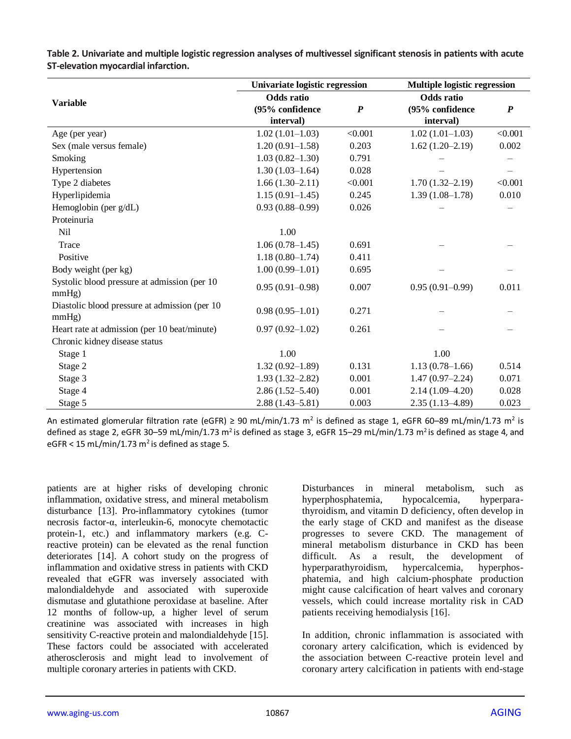|                                                        | Univariate logistic regression      |         | <b>Multiple logistic regression</b> |                  |  |
|--------------------------------------------------------|-------------------------------------|---------|-------------------------------------|------------------|--|
| <b>Variable</b>                                        | <b>Odds</b> ratio                   |         | <b>Odds</b> ratio                   |                  |  |
|                                                        | $\boldsymbol{P}$<br>(95% confidence |         | (95% confidence                     | $\boldsymbol{P}$ |  |
|                                                        | interval)                           |         | interval)                           |                  |  |
| Age (per year)                                         | $1.02(1.01-1.03)$                   | < 0.001 | $1.02(1.01-1.03)$                   | < 0.001          |  |
| Sex (male versus female)                               | $1.20(0.91-1.58)$                   | 0.203   | $1.62(1.20-2.19)$                   | 0.002            |  |
| Smoking                                                | $1.03(0.82 - 1.30)$                 | 0.791   |                                     |                  |  |
| Hypertension                                           | $1.30(1.03-1.64)$                   | 0.028   |                                     |                  |  |
| Type 2 diabetes                                        | $1.66(1.30-2.11)$                   | < 0.001 | $1.70(1.32 - 2.19)$                 | < 0.001          |  |
| Hyperlipidemia                                         | $1.15(0.91-1.45)$                   | 0.245   | $1.39(1.08-1.78)$                   | 0.010            |  |
| Hemoglobin (per g/dL)                                  | $0.93(0.88 - 0.99)$                 | 0.026   |                                     |                  |  |
| Proteinuria                                            |                                     |         |                                     |                  |  |
| Nil                                                    | 1.00                                |         |                                     |                  |  |
| Trace                                                  | $1.06(0.78-1.45)$                   | 0.691   |                                     |                  |  |
| Positive                                               | $1.18(0.80-1.74)$                   | 0.411   |                                     |                  |  |
| Body weight (per kg)                                   | $1.00(0.99-1.01)$                   | 0.695   |                                     |                  |  |
| Systolic blood pressure at admission (per 10<br>mmHg)  | $0.95(0.91 - 0.98)$                 | 0.007   | $0.95(0.91-0.99)$                   | 0.011            |  |
| Diastolic blood pressure at admission (per 10<br>mmHg) | $0.98(0.95-1.01)$                   | 0.271   |                                     |                  |  |
| Heart rate at admission (per 10 beat/minute)           | $0.97(0.92 - 1.02)$                 | 0.261   |                                     |                  |  |
| Chronic kidney disease status                          |                                     |         |                                     |                  |  |
| Stage 1                                                | 1.00                                |         | 1.00                                |                  |  |
| Stage 2                                                | $1.32(0.92 - 1.89)$                 | 0.131   | $1.13(0.78-1.66)$                   | 0.514            |  |
| Stage 3                                                | $1.93(1.32 - 2.82)$                 | 0.001   | $1.47(0.97-2.24)$                   | 0.071            |  |
| Stage 4                                                | $2.86(1.52 - 5.40)$                 | 0.001   | $2.14(1.09-4.20)$                   | 0.028            |  |
| Stage 5                                                | $2.88(1.43 - 5.81)$                 | 0.003   | $2.35(1.13 - 4.89)$                 | 0.023            |  |

**Table 2. Univariate and multiple logistic regression analyses of multivessel significant stenosis in patients with acute ST-elevation myocardial infarction.**

An estimated glomerular filtration rate (eGFR) ≥ 90 mL/min/1.73 m<sup>2</sup> is defined as stage 1, eGFR 60–89 mL/min/1.73 m<sup>2</sup> is defined as stage 2, eGFR 30–59 mL/min/1.73 m<sup>2</sup> is defined as stage 3, eGFR 15–29 mL/min/1.73 m<sup>2</sup> is defined as stage 4, and eGFR < 15 mL/min/1.73 m<sup>2</sup> is defined as stage 5.

patients are at higher risks of developing chronic inflammation, oxidative stress, and mineral metabolism disturbance [13]. Pro-inflammatory cytokines (tumor necrosis factor-α, interleukin-6, monocyte chemotactic protein-1, etc.) and inflammatory markers (e.g. Creactive protein) can be elevated as the renal function deteriorates [14]. A cohort study on the progress of inflammation and oxidative stress in patients with CKD revealed that eGFR was inversely associated with malondialdehyde and associated with superoxide dismutase and glutathione peroxidase at baseline. After 12 months of follow-up, a higher level of serum creatinine was associated with increases in high sensitivity C-reactive protein and malondialdehyde [15]. These factors could be associated with accelerated atherosclerosis and might lead to involvement of multiple coronary arteries in patients with CKD.

Disturbances in mineral metabolism, such as hyperphosphatemia, hypocalcemia, hyperparathyroidism, and vitamin D deficiency, often develop in the early stage of CKD and manifest as the disease progresses to severe CKD. The management of mineral metabolism disturbance in CKD has been difficult. As a result, the development of hyperparathyroidism, hypercalcemia, hyperphosphatemia, and high calcium-phosphate production might cause calcification of heart valves and coronary vessels, which could increase mortality risk in CAD patients receiving hemodialysis [16].

In addition, chronic inflammation is associated with coronary artery calcification, which is evidenced by the association between C-reactive protein level and coronary artery calcification in patients with end-stage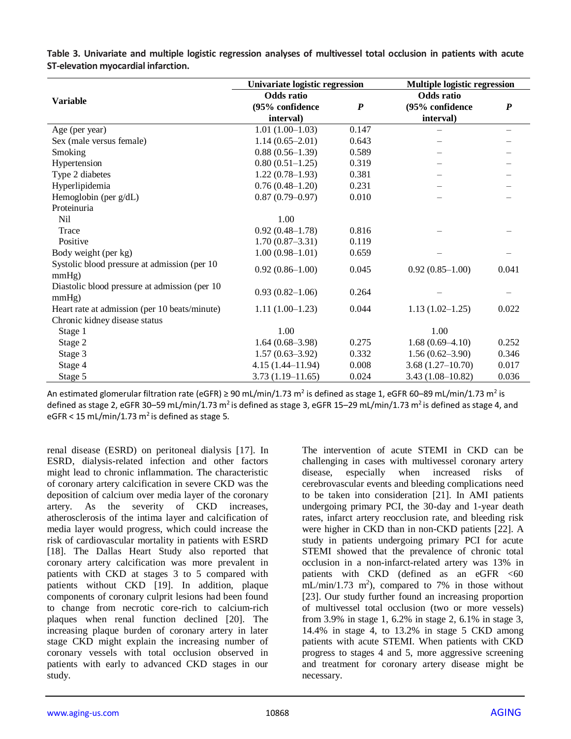|                                                | Univariate logistic regression      |       | Multiple logistic regression |                  |  |
|------------------------------------------------|-------------------------------------|-------|------------------------------|------------------|--|
| <b>Variable</b>                                | <b>Odds</b> ratio                   |       | <b>Odds</b> ratio            |                  |  |
|                                                | (95% confidence<br>$\boldsymbol{P}$ |       | (95% confidence              | $\boldsymbol{P}$ |  |
|                                                | interval)                           |       | interval)                    |                  |  |
| Age (per year)                                 | $1.01(1.00-1.03)$                   | 0.147 |                              |                  |  |
| Sex (male versus female)                       | $1.14(0.65-2.01)$                   | 0.643 |                              |                  |  |
| Smoking                                        | $0.88(0.56-1.39)$                   | 0.589 |                              |                  |  |
| Hypertension                                   | $0.80(0.51-1.25)$                   | 0.319 |                              |                  |  |
| Type 2 diabetes                                | $1.22(0.78-1.93)$                   | 0.381 |                              |                  |  |
| Hyperlipidemia                                 | $0.76(0.48-1.20)$                   | 0.231 |                              |                  |  |
| Hemoglobin (per g/dL)                          | $0.87(0.79-0.97)$                   | 0.010 |                              |                  |  |
| Proteinuria                                    |                                     |       |                              |                  |  |
| <b>Nil</b>                                     | 1.00                                |       |                              |                  |  |
| Trace                                          | $0.92(0.48 - 1.78)$                 | 0.816 |                              |                  |  |
| Positive                                       | $1.70(0.87 - 3.31)$                 | 0.119 |                              |                  |  |
| Body weight (per kg)                           | $1.00(0.98-1.01)$                   | 0.659 |                              |                  |  |
| Systolic blood pressure at admission (per 10)  | $0.92(0.86 - 1.00)$                 | 0.045 | $0.92(0.85-1.00)$            | 0.041            |  |
| mmHg)                                          |                                     |       |                              |                  |  |
| Diastolic blood pressure at admission (per 10) | $0.93(0.82 - 1.06)$                 | 0.264 |                              |                  |  |
| mmHg)                                          |                                     |       |                              |                  |  |
| Heart rate at admission (per 10 beats/minute)  | $1.11(1.00-1.23)$                   | 0.044 | $1.13(1.02 - 1.25)$          | 0.022            |  |
| Chronic kidney disease status                  |                                     |       |                              |                  |  |
| Stage 1                                        | 1.00                                |       | 1.00                         |                  |  |
| Stage 2                                        | $1.64(0.68-3.98)$                   | 0.275 | $1.68(0.69-4.10)$            | 0.252            |  |
| Stage 3                                        | $1.57(0.63-3.92)$                   | 0.332 | $1.56(0.62 - 3.90)$          | 0.346            |  |
| Stage 4                                        | $4.15(1.44 - 11.94)$                | 0.008 | $3.68(1.27-10.70)$           | 0.017            |  |
| Stage 5                                        | $3.73(1.19 - 11.65)$                | 0.024 | $3.43(1.08-10.82)$           | 0.036            |  |

**Table 3. Univariate and multiple logistic regression analyses of multivessel total occlusion in patients with acute ST-elevation myocardial infarction.**

An estimated glomerular filtration rate (eGFR) ≥ 90 mL/min/1.73 m<sup>2</sup> is defined as stage 1, eGFR 60–89 mL/min/1.73 m<sup>2</sup> is defined as stage 2, eGFR 30-59 mL/min/1.73 m<sup>2</sup> is defined as stage 3, eGFR 15-29 mL/min/1.73 m<sup>2</sup> is defined as stage 4, and eGFR < 15 mL/min/1.73  $m^2$  is defined as stage 5.

renal disease (ESRD) on peritoneal dialysis [17]. In ESRD, dialysis-related infection and other factors might lead to chronic inflammation. The characteristic of coronary artery calcification in severe CKD was the deposition of calcium over media layer of the coronary artery. As the severity of CKD increases, atherosclerosis of the intima layer and calcification of media layer would progress, which could increase the risk of cardiovascular mortality in patients with ESRD [18]. The Dallas Heart Study also reported that coronary artery calcification was more prevalent in patients with CKD at stages 3 to 5 compared with patients without CKD [19]. In addition, plaque components of coronary culprit lesions had been found to change from necrotic core-rich to calcium-rich plaques when renal function declined [20]. The increasing plaque burden of coronary artery in later stage CKD might explain the increasing number of coronary vessels with total occlusion observed in patients with early to advanced CKD stages in our study.

The intervention of acute STEMI in CKD can be challenging in cases with multivessel coronary artery disease, especially when increased risks of cerebrovascular events and bleeding complications need to be taken into consideration [21]. In AMI patients undergoing primary PCI, the 30-day and 1-year death rates, infarct artery reocclusion rate, and bleeding risk were higher in CKD than in non-CKD patients [22]. A study in patients undergoing primary PCI for acute STEMI showed that the prevalence of chronic total occlusion in a non-infarct-related artery was 13% in patients with  $CKD$  (defined as an eGFR  $\leq 60$  $mL/min/1.73$  m<sup>2</sup>), compared to 7% in those without [23]. Our study further found an increasing proportion of multivessel total occlusion (two or more vessels) from 3.9% in stage 1, 6.2% in stage 2, 6.1% in stage 3, 14.4% in stage 4, to 13.2% in stage 5 CKD among patients with acute STEMI. When patients with CKD progress to stages 4 and 5, more aggressive screening and treatment for coronary artery disease might be necessary.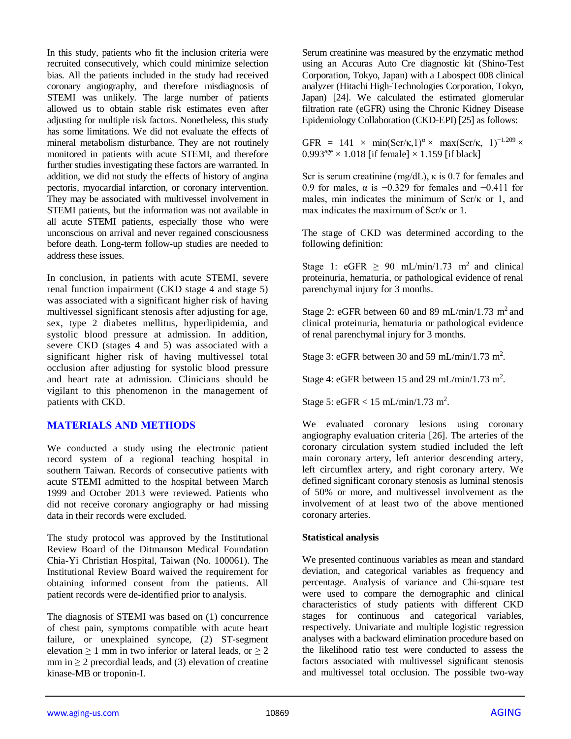In this study, patients who fit the inclusion criteria were recruited consecutively, which could minimize selection bias. All the patients included in the study had received coronary angiography, and therefore misdiagnosis of STEMI was unlikely. The large number of patients allowed us to obtain stable risk estimates even after adjusting for multiple risk factors. Nonetheless, this study has some limitations. We did not evaluate the effects of mineral metabolism disturbance. They are not routinely monitored in patients with acute STEMI, and therefore further studies investigating these factors are warranted. In addition, we did not study the effects of history of angina pectoris, myocardial infarction, or coronary intervention. They may be associated with multivessel involvement in STEMI patients, but the information was not available in all acute STEMI patients, especially those who were unconscious on arrival and never regained consciousness before death. Long-term follow-up studies are needed to address these issues.

In conclusion, in patients with acute STEMI, severe renal function impairment (CKD stage 4 and stage 5) was associated with a significant higher risk of having multivessel significant stenosis after adjusting for age, sex, type 2 diabetes mellitus, hyperlipidemia, and systolic blood pressure at admission. In addition, severe CKD (stages 4 and 5) was associated with a significant higher risk of having multivessel total occlusion after adjusting for systolic blood pressure and heart rate at admission. Clinicians should be vigilant to this phenomenon in the management of patients with CKD.

## **MATERIALS AND METHODS**

We conducted a study using the electronic patient record system of a regional teaching hospital in southern Taiwan. Records of consecutive patients with acute STEMI admitted to the hospital between March 1999 and October 2013 were reviewed. Patients who did not receive coronary angiography or had missing data in their records were excluded.

The study protocol was approved by the Institutional Review Board of the Ditmanson Medical Foundation Chia-Yi Christian Hospital, Taiwan (No. 100061). The Institutional Review Board waived the requirement for obtaining informed consent from the patients. All patient records were de-identified prior to analysis.

The diagnosis of STEMI was based on (1) concurrence of chest pain, symptoms compatible with acute heart failure, or unexplained syncope, (2) ST-segment elevation  $\geq 1$  mm in two inferior or lateral leads, or  $\geq 2$ mm in  $\geq 2$  precordial leads, and (3) elevation of creatine kinase-MB or troponin-I.

Serum creatinine was measured by the enzymatic method using an Accuras Auto Cre diagnostic kit (Shino-Test Corporation, Tokyo, Japan) with a Labospect 008 clinical analyzer (Hitachi High-Technologies Corporation, Tokyo, Japan) [24]. We calculated the estimated glomerular filtration rate (eGFR) using the Chronic Kidney Disease Epidemiology Collaboration (CKD-EPI) [25] as follows:

GFR = 141 × min(Scr/k, 1)<sup> $\alpha$ </sup> × max(Scr/k, 1)<sup>-1.209</sup> ×  $0.993<sup>age</sup> \times 1.018$  [if female]  $\times$  1.159 [if black]

Scr is serum creatinine (mg/dL), κ is 0.7 for females and 0.9 for males,  $\alpha$  is −0.329 for females and −0.411 for males, min indicates the minimum of Scr/κ or 1, and max indicates the maximum of Scr/κ or 1.

The stage of CKD was determined according to the following definition:

Stage 1: eGFR  $\geq$  90 mL/min/1.73 m<sup>2</sup> and clinical proteinuria, hematuria, or pathological evidence of renal parenchymal injury for 3 months.

Stage 2: eGFR between 60 and 89 mL/min/1.73 m<sup>2</sup> and clinical proteinuria, hematuria or pathological evidence of renal parenchymal injury for 3 months.

Stage 3: eGFR between 30 and 59 mL/min/1.73 m<sup>2</sup>.

Stage 4: eGFR between 15 and 29 mL/min/1.73 m<sup>2</sup>.

Stage 5: eGFR <  $15 \text{ mL/min}/1.73 \text{ m}^2$ .

We evaluated coronary lesions using coronary angiography evaluation criteria [26]. The arteries of the coronary circulation system studied included the left main coronary artery, left anterior descending artery, left circumflex artery, and right coronary artery. We defined significant coronary stenosis as luminal stenosis of 50% or more, and multivessel involvement as the involvement of at least two of the above mentioned coronary arteries.

### **Statistical analysis**

We presented continuous variables as mean and standard deviation, and categorical variables as frequency and percentage. Analysis of variance and Chi-square test were used to compare the demographic and clinical characteristics of study patients with different CKD stages for continuous and categorical variables, respectively. Univariate and multiple logistic regression analyses with a backward elimination procedure based on the likelihood ratio test were conducted to assess the factors associated with multivessel significant stenosis and multivessel total occlusion. The possible two-way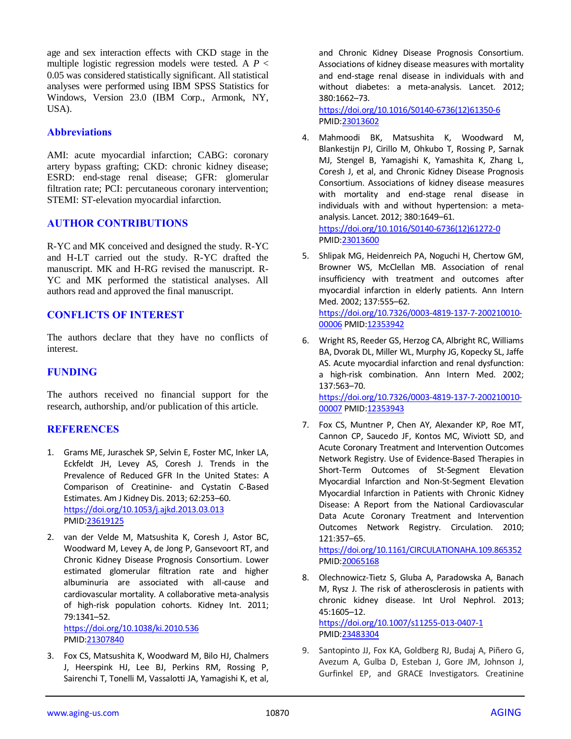age and sex interaction effects with CKD stage in the multiple logistic regression models were tested. A *P* < 0.05 was considered statistically significant. All statistical analyses were performed using IBM SPSS Statistics for Windows, Version 23.0 (IBM Corp., Armonk, NY, USA).

## **Abbreviations**

AMI: acute myocardial infarction; CABG: coronary artery bypass grafting; CKD: chronic kidney disease; ESRD: end-stage renal disease; GFR: glomerular filtration rate; PCI: percutaneous coronary intervention; STEMI: ST-elevation myocardial infarction.

## **AUTHOR CONTRIBUTIONS**

R-YC and MK conceived and designed the study. R-YC and H-LT carried out the study. R-YC drafted the manuscript. MK and H-RG revised the manuscript. R-YC and MK performed the statistical analyses. All authors read and approved the final manuscript.

## **CONFLICTS OF INTEREST**

The authors declare that they have no conflicts of interest.

## **FUNDING**

The authors received no financial support for the research, authorship, and/or publication of this article.

## **REFERENCES**

- 1. Grams ME, Juraschek SP, Selvin E, Foster MC, Inker LA, Eckfeldt JH, Levey AS, Coresh J. Trends in the Prevalence of Reduced GFR In the United States: A Comparison of Creatinine- and Cystatin C-Based Estimates. Am J Kidney Dis. 2013; 62:253–60. <https://doi.org/10.1053/j.ajkd.2013.03.013> PMID[:23619125](https://pubmed.ncbi.nlm.nih.gov/23619125)
- 2. van der Velde M, Matsushita K, Coresh J, Astor BC, Woodward M, Levey A, de Jong P, Gansevoort RT, and Chronic Kidney Disease Prognosis Consortium. Lower estimated glomerular filtration rate and higher albuminuria are associated with all-cause and cardiovascular mortality. A collaborative meta-analysis of high-risk population cohorts. Kidney Int. 2011; 79:1341–52. <https://doi.org/10.1038/ki.2010.536>

PMID[:21307840](https://www.ncbi.nlm.nih.gov/pubmed/21307840)

3. Fox CS, Matsushita K, Woodward M, Bilo HJ, Chalmers J, Heerspink HJ, Lee BJ, Perkins RM, Rossing P, Sairenchi T, Tonelli M, Vassalotti JA, Yamagishi K, et al,

and Chronic Kidney Disease Prognosis Consortium. Associations of kidney disease measures with mortality and end-stage renal disease in individuals with and without diabetes: a meta-analysis. Lancet. 2012; 380:1662–73.

[https://doi.org/10.1016/S0140-6736\(12\)61350-6](https://doi.org/10.1016/S0140-6736(12)61350-6) PMI[D:23013602](https://pubmed.ncbi.nlm.nih.gov/23013602)

- 4. Mahmoodi BK, Matsushita K, Woodward M, Blankestijn PJ, Cirillo M, Ohkubo T, Rossing P, Sarnak MJ, Stengel B, Yamagishi K, Yamashita K, Zhang L, Coresh J, et al, and Chronic Kidney Disease Prognosis Consortium. Associations of kidney disease measures with mortality and end-stage renal disease in individuals with and without hypertension: a metaanalysis. Lancet. 2012; 380:1649–61. [https://doi.org/10.1016/S0140-6736\(12\)61272-0](https://doi.org/10.1016/S0140-6736(12)61272-0) PMI[D:23013600](https://pubmed.ncbi.nlm.nih.gov/23013600)
- 5. Shlipak MG, Heidenreich PA, Noguchi H, Chertow GM, Browner WS, McClellan MB. Association of renal insufficiency with treatment and outcomes after myocardial infarction in elderly patients. Ann Intern Med. 2002; 137:555–62.

[https://doi.org/10.7326/0003-4819-137-7-200210010-](https://doi.org/10.7326/0003-4819-137-7-200210010-00006) [00006](https://doi.org/10.7326/0003-4819-137-7-200210010-00006) PMI[D:12353942](https://pubmed.ncbi.nlm.nih.gov/12353942)

- 6. Wright RS, Reeder GS, Herzog CA, Albright RC, Williams BA, Dvorak DL, Miller WL, Murphy JG, Kopecky SL, Jaffe AS. Acute myocardial infarction and renal dysfunction: a high-risk combination. Ann Intern Med. 2002; 137:563–70. [https://doi.org/10.7326/0003-4819-137-7-200210010-](https://doi.org/10.7326/0003-4819-137-7-200210010-00007) [00007](https://doi.org/10.7326/0003-4819-137-7-200210010-00007) PMI[D:12353943](https://pubmed.ncbi.nlm.nih.gov/12353943)
- 7. Fox CS, Muntner P, Chen AY, Alexander KP, Roe MT, Cannon CP, Saucedo JF, Kontos MC, Wiviott SD, and Acute Coronary Treatment and Intervention Outcomes Network Registry. Use of Evidence-Based Therapies in Short-Term Outcomes of St-Segment Elevation Myocardial Infarction and Non-St-Segment Elevation Myocardial Infarction in Patients with Chronic Kidney Disease: A Report from the National Cardiovascular Data Acute Coronary Treatment and Intervention Outcomes Network Registry. Circulation. 2010; 121:357–65.

<https://doi.org/10.1161/CIRCULATIONAHA.109.865352> PMI[D:20065168](https://pubmed.ncbi.nlm.nih.gov/20065168)

8. Olechnowicz-Tietz S, Gluba A, Paradowska A, Banach M, Rysz J. The risk of atherosclerosis in patients with chronic kidney disease. Int Urol Nephrol. 2013; 45:1605–12. <https://doi.org/10.1007/s11255-013-0407-1>

PMI[D:23483304](https://pubmed.ncbi.nlm.nih.gov/23483304)

9. Santopinto JJ, Fox KA, Goldberg RJ, Budaj A, Piñero G, Avezum A, Gulba D, Esteban J, Gore JM, Johnson J, Gurfinkel EP, and GRACE Investigators. Creatinine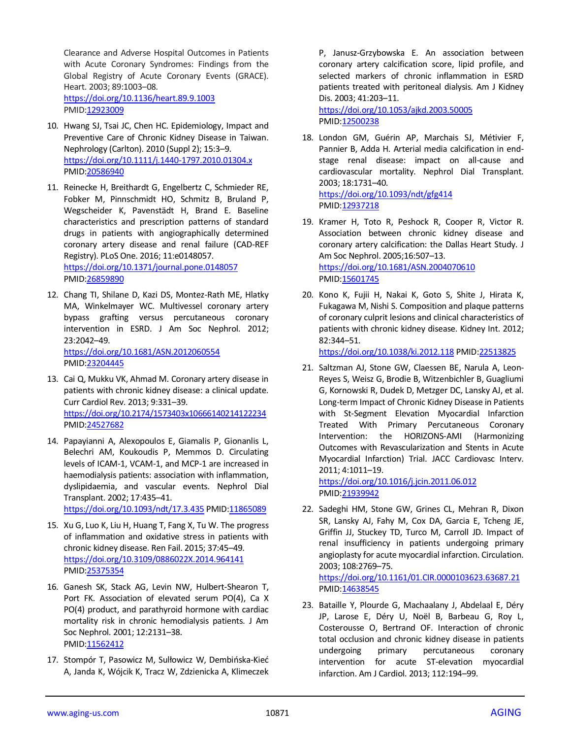Clearance and Adverse Hospital Outcomes in Patients with Acute Coronary Syndromes: Findings from the Global Registry of Acute Coronary Events (GRACE). Heart. 2003; 89:1003–08. <https://doi.org/10.1136/heart.89.9.1003> PMID[:12923009](https://www.ncbi.nlm.nih.gov/pubmed/12923009)

- 10. Hwang SJ, Tsai JC, Chen HC. Epidemiology, Impact and Preventive Care of Chronic Kidney Disease in Taiwan. Nephrology (Carlton). 2010 (Suppl 2); 15:3–9. <https://doi.org/10.1111/j.1440-1797.2010.01304.x> PMID[:20586940](https://pubmed.ncbi.nlm.nih.gov/20586940)
- 11. Reinecke H, Breithardt G, Engelbertz C, Schmieder RE, Fobker M, Pinnschmidt HO, Schmitz B, Bruland P, Wegscheider K, Pavenstädt H, Brand E. Baseline characteristics and prescription patterns of standard drugs in patients with angiographically determined coronary artery disease and renal failure (CAD-REF Registry). PLoS One. 2016; 11:e0148057. <https://doi.org/10.1371/journal.pone.0148057> PMID[:26859890](https://pubmed.ncbi.nlm.nih.gov/26859890)
- 12. Chang TI, Shilane D, Kazi DS, Montez-Rath ME, Hlatky MA, Winkelmayer WC. Multivessel coronary artery bypass grafting versus percutaneous coronary intervention in ESRD. J Am Soc Nephrol. 2012; 23:2042–49. <https://doi.org/10.1681/ASN.2012060554> PMID[:23204445](https://pubmed.ncbi.nlm.nih.gov/23204445)
- 13. Cai Q, Mukku VK, Ahmad M. Coronary artery disease in patients with chronic kidney disease: a clinical update. Curr Cardiol Rev. 2013; 9:331–39. <https://doi.org/10.2174/1573403x10666140214122234> PMID[:24527682](https://pubmed.ncbi.nlm.nih.gov/24527682)
- 14. Papayianni A, Alexopoulos E, Giamalis P, Gionanlis L, Belechri AM, Koukoudis P, Memmos D. Circulating levels of ICAM-1, VCAM-1, and MCP-1 are increased in haemodialysis patients: association with inflammation, dyslipidaemia, and vascular events. Nephrol Dial Transplant. 2002; 17:435–41. <https://doi.org/10.1093/ndt/17.3.435> PMI[D:11865089](https://pubmed.ncbi.nlm.nih.gov/11865089)
- 15. Xu G, Luo K, Liu H, Huang T, Fang X, Tu W. The progress of inflammation and oxidative stress in patients with chronic kidney disease. Ren Fail. 2015; 37:45–49. <https://doi.org/10.3109/0886022X.2014.964141> PMID[:25375354](https://pubmed.ncbi.nlm.nih.gov/25375354)
- 16. Ganesh SK, Stack AG, Levin NW, Hulbert-Shearon T, Port FK. Association of elevated serum PO(4), Ca X PO(4) product, and parathyroid hormone with cardiac mortality risk in chronic hemodialysis patients. J Am Soc Nephrol. 2001; 12:2131–38. PMID[:11562412](https://pubmed.ncbi.nlm.nih.gov/11562412)
- 17. Stompór T, Pasowicz M, Sulłowicz W, Dembińska-Kieć A, Janda K, Wójcik K, Tracz W, Zdzienicka A, Klimeczek

P, Janusz-Grzybowska E. An association between coronary artery calcification score, lipid profile, and selected markers of chronic inflammation in ESRD patients treated with peritoneal dialysis. Am J Kidney Dis. 2003; 41:203–11.

<https://doi.org/10.1053/ajkd.2003.50005> PMI[D:12500238](https://pubmed.ncbi.nlm.nih.gov/12500238)

18. London GM, Guérin AP, Marchais SJ, Métivier F, Pannier B, Adda H. Arterial media calcification in endstage renal disease: impact on all-cause and cardiovascular mortality. Nephrol Dial Transplant. 2003; 18:1731–40. <https://doi.org/10.1093/ndt/gfg414>

PMI[D:12937218](https://pubmed.ncbi.nlm.nih.gov/12937218)

- 19. Kramer H, Toto R, Peshock R, Cooper R, Victor R. Association between chronic kidney disease and coronary artery calcification: the Dallas Heart Study. J Am Soc Nephrol. 2005;16:507–13. <https://doi.org/10.1681/ASN.2004070610> PMI[D:15601745](https://www.ncbi.nlm.nih.gov/pubmed/15601745)
- 20. Kono K, Fujii H, Nakai K, Goto S, Shite J, Hirata K, Fukagawa M, Nishi S. Composition and plaque patterns of coronary culprit lesions and clinical characteristics of patients with chronic kidney disease. Kidney Int. 2012; 82:344–51.

<https://doi.org/10.1038/ki.2012.118> PMI[D:22513825](https://pubmed.ncbi.nlm.nih.gov/22513825)

21. Saltzman AJ, Stone GW, Claessen BE, Narula A, Leon-Reyes S, Weisz G, Brodie B, Witzenbichler B, Guagliumi G, Kornowski R, Dudek D, Metzger DC, Lansky AJ, et al. Long-term Impact of Chronic Kidney Disease in Patients with St-Segment Elevation Myocardial Infarction Treated With Primary Percutaneous Coronary Intervention: the HORIZONS-AMI (Harmonizing Outcomes with Revascularization and Stents in Acute Myocardial Infarction) Trial. JACC Cardiovasc Interv. 2011; 4:1011–19.

<https://doi.org/10.1016/j.jcin.2011.06.012> PMI[D:21939942](https://pubmed.ncbi.nlm.nih.gov/21939942)

22. Sadeghi HM, Stone GW, Grines CL, Mehran R, Dixon SR, Lansky AJ, Fahy M, Cox DA, Garcia E, Tcheng JE, Griffin JJ, Stuckey TD, Turco M, Carroll JD. Impact of renal insufficiency in patients undergoing primary angioplasty for acute myocardial infarction. Circulation. 2003; 108:2769–75.

<https://doi.org/10.1161/01.CIR.0000103623.63687.21> PMI[D:14638545](https://www.ncbi.nlm.nih.gov/pubmed/14638545)

23. Bataille Y, Plourde G, Machaalany J, Abdelaal E, Déry JP, Larose E, Déry U, Noël B, Barbeau G, Roy L, Costerousse O, Bertrand OF. Interaction of chronic total occlusion and chronic kidney disease in patients undergoing primary percutaneous coronary intervention for acute ST-elevation myocardial infarction. Am J Cardiol. 2013; 112:194–99.